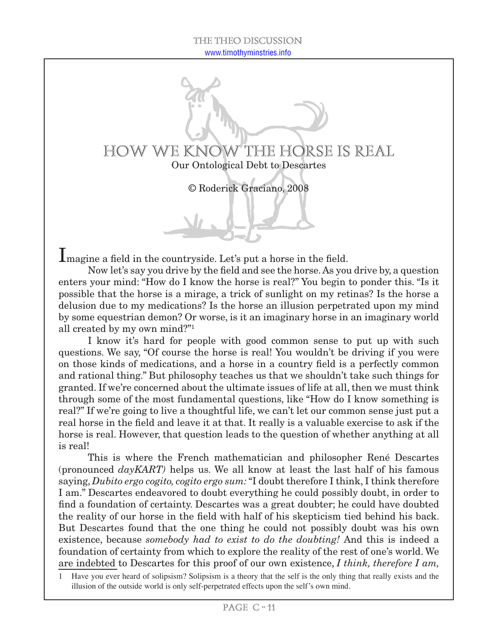

© Roderick Graciano, 2008

Imagine a field in the countryside. Let's put a horse in the field.

Now let's say you drive by the field and see the horse. As you drive by, a question enters your mind: "How do I know the horse is real?" You begin to ponder this. "Is it possible that the horse is a mirage, a trick of sunlight on my retinas? Is the horse a delusion due to my medications? Is the horse an illusion perpetrated upon my mind by some equestrian demon? Or worse, is it an imaginary horse in an imaginary world all created by my own mind?"

I know it's hard for people with good common sense to put up with such questions. We say, "Of course the horse is real! You wouldn't be driving if you were on those kinds of medications, and a horse in a country field is a perfectly common and rational thing." But philosophy teaches us that we shouldn't take such things for granted. If we're concerned about the ultimate issues of life at all, then we must think through some of the most fundamental questions, like "How do I know something is real?" If we're going to live a thoughtful life, we can't let our common sense just put a real horse in the field and leave it at that. It really is a valuable exercise to ask if the horse is real. However, that question leads to the question of whether anything at all is real!

This is where the French mathematician and philosopher René Descartes (pronounced *dayKART)* helps us. We all know at least the last half of his famous saying, *Dubito ergo cogito, cogito ergo sum:* "I doubt therefore I think, I think therefore I am." Descartes endeavored to doubt everything he could possibly doubt, in order to find a foundation of certainty. Descartes was a great doubter; he could have doubted the reality of our horse in the field with half of his skepticism tied behind his back. But Descartes found that the one thing he could not possibly doubt was his own existence, because *somebody had to exist to do the doubting!* And this is indeed a foundation of certainty from which to explore the reality of the rest of one's world. We are indebted to Descartes for this proof of our own existence, *I think, therefore I am,* 

 Have you ever heard of solipsism? Solipsism is a theory that the self is the only thing that really exists and the illusion of the outside world is only self-perpetrated effects upon the self's own mind.